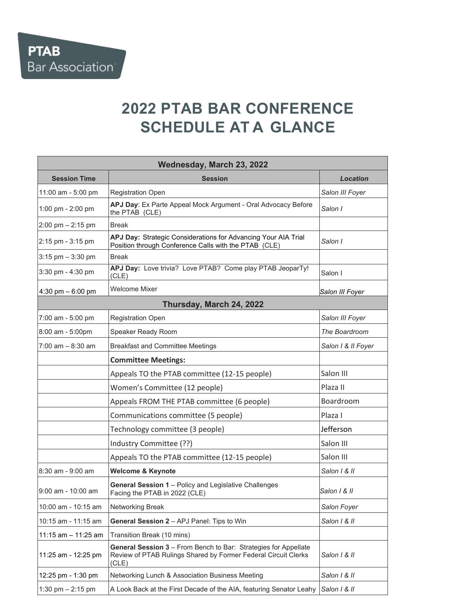## **2022 PTAB BAR CONFERENCE SCHEDULE AT A GLANCE**

| Wednesday, March 23, 2022 |                                                                                                                                            |                    |  |
|---------------------------|--------------------------------------------------------------------------------------------------------------------------------------------|--------------------|--|
| <b>Session Time</b>       | <b>Session</b>                                                                                                                             | Location           |  |
| 11:00 am - 5:00 pm        | <b>Registration Open</b>                                                                                                                   | Salon III Foyer    |  |
| 1:00 pm - 2:00 pm         | APJ Day: Ex Parte Appeal Mock Argument - Oral Advocacy Before<br>the PTAB (CLE)                                                            | Salon I            |  |
| 2:00 pm $-$ 2:15 pm       | <b>Break</b>                                                                                                                               |                    |  |
| 2:15 pm - 3:15 pm         | APJ Day: Strategic Considerations for Advancing Your AIA Trial<br>Position through Conference Calls with the PTAB (CLE)                    | Salon I            |  |
| $3:15$ pm $-3:30$ pm      | <b>Break</b>                                                                                                                               |                    |  |
| 3:30 pm - 4:30 pm         | APJ Day: Love trivia? Love PTAB? Come play PTAB JeoparTy!<br>(CLE)                                                                         | Salon I            |  |
| 4:30 pm $-6:00$ pm        | <b>Welcome Mixer</b>                                                                                                                       | Salon III Foyer    |  |
| Thursday, March 24, 2022  |                                                                                                                                            |                    |  |
| 7:00 am - 5:00 pm         | <b>Registration Open</b>                                                                                                                   | Salon III Foyer    |  |
| 8:00 am - 5:00pm          | Speaker Ready Room                                                                                                                         | The Boardroom      |  |
| $7:00$ am $-8:30$ am      | <b>Breakfast and Committee Meetings</b>                                                                                                    | Salon I & II Foyer |  |
|                           | <b>Committee Meetings:</b>                                                                                                                 |                    |  |
|                           | Appeals TO the PTAB committee (12-15 people)                                                                                               | Salon III          |  |
|                           | Women's Committee (12 people)                                                                                                              | Plaza II           |  |
|                           | Appeals FROM THE PTAB committee (6 people)                                                                                                 | Boardroom          |  |
|                           | Communications committee (5 people)                                                                                                        | Plaza I            |  |
|                           | Technology committee (3 people)                                                                                                            | Jefferson          |  |
|                           | Industry Committee (??)                                                                                                                    | Salon III          |  |
|                           | Appeals TO the PTAB committee (12-15 people)                                                                                               | Salon III          |  |
| 8:30 am - 9:00 am         | <b>Welcome &amp; Keynote</b>                                                                                                               | Salon 1 & II       |  |
| $9:00$ am - $10:00$ am    | General Session 1 - Policy and Legislative Challenges<br>Facing the PTAB in 2022 (CLE)                                                     | Salon 1 & II       |  |
| 10:00 am - 10:15 am       | Networking Break                                                                                                                           | Salon Foyer        |  |
| 10:15 am - 11:15 am       | General Session 2 - APJ Panel: Tips to Win                                                                                                 | $Salon$ $l$ & $ll$ |  |
| 11:15 am – 11:25 am       | Transition Break (10 mins)                                                                                                                 |                    |  |
| 11:25 am - 12:25 pm       | General Session 3 - From Bench to Bar: Strategies for Appellate<br>Review of PTAB Rulings Shared by Former Federal Circuit Clerks<br>(CLE) | Salon 1 & II       |  |
| 12:25 pm - 1:30 pm        | Networking Lunch & Association Business Meeting                                                                                            | Salon 1 & II       |  |
| 1:30 pm $- 2:15$ pm       | A Look Back at the First Decade of the AIA, featuring Senator Leahy                                                                        | Salon 1 & II       |  |